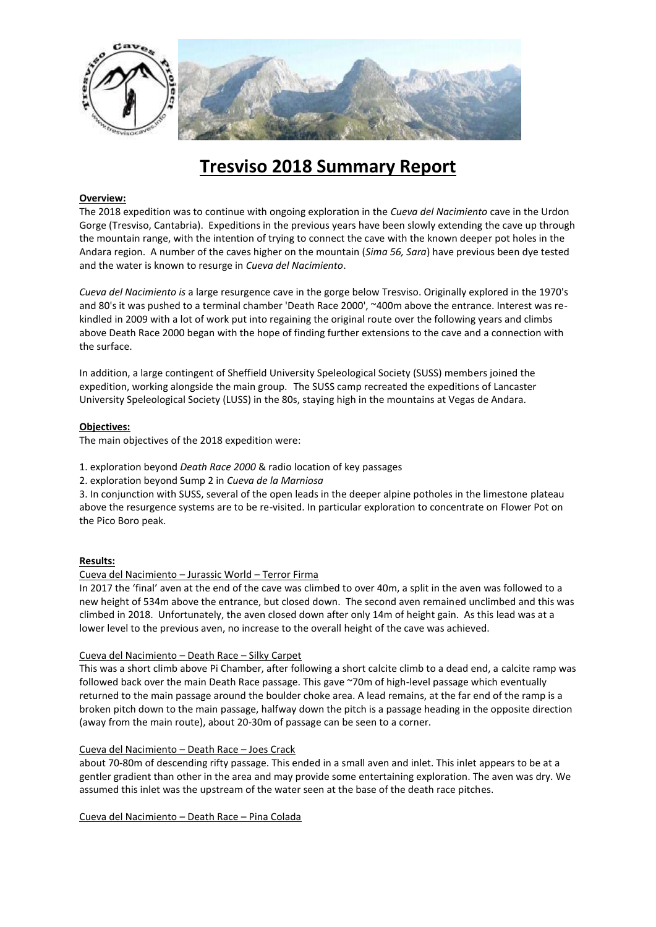

# **Tresviso 2018 Summary Report**

# **Overview:**

The 2018 expedition was to continue with ongoing exploration in the *Cueva del Nacimiento* cave in the Urdon Gorge (Tresviso, Cantabria). Expeditions in the previous years have been slowly extending the cave up through the mountain range, with the intention of trying to connect the cave with the known deeper pot holes in the Andara region. A number of the caves higher on the mountain (*Sima 56, Sara*) have previous been dye tested and the water is known to resurge in *Cueva del Nacimiento*.

*Cueva del Nacimiento is* a large resurgence cave in the gorge below Tresviso. Originally explored in the 1970's and 80's it was pushed to a terminal chamber 'Death Race 2000', ~400m above the entrance. Interest was rekindled in 2009 with a lot of work put into regaining the original route over the following years and climbs above Death Race 2000 began with the hope of finding further extensions to the cave and a connection with the surface.

In addition, a large contingent of Sheffield University Speleological Society (SUSS) members joined the expedition, working alongside the main group. The SUSS camp recreated the expeditions of Lancaster University Speleological Society (LUSS) in the 80s, staying high in the mountains at Vegas de Andara.

## **Objectives:**

The main objectives of the 2018 expedition were:

- 1. exploration beyond *Death Race 2000* & radio location of key passages
- 2. exploration beyond Sump 2 in *Cueva de la Marniosa*

3. In conjunction with SUSS, several of the open leads in the deeper alpine potholes in the limestone plateau above the resurgence systems are to be re-visited. In particular exploration to concentrate on Flower Pot on the Pico Boro peak.

## **Results:**

## Cueva del Nacimiento – Jurassic World – Terror Firma

In 2017 the 'final' aven at the end of the cave was climbed to over 40m, a split in the aven was followed to a new height of 534m above the entrance, but closed down. The second aven remained unclimbed and this was climbed in 2018. Unfortunately, the aven closed down after only 14m of height gain. As this lead was at a lower level to the previous aven, no increase to the overall height of the cave was achieved.

## Cueva del Nacimiento – Death Race – Silky Carpet

This was a short climb above Pi Chamber, after following a short calcite climb to a dead end, a calcite ramp was followed back over the main Death Race passage. This gave ~70m of high-level passage which eventually returned to the main passage around the boulder choke area. A lead remains, at the far end of the ramp is a broken pitch down to the main passage, halfway down the pitch is a passage heading in the opposite direction (away from the main route), about 20-30m of passage can be seen to a corner.

# Cueva del Nacimiento – Death Race – Joes Crack

about 70-80m of descending rifty passage. This ended in a small aven and inlet. This inlet appears to be at a gentler gradient than other in the area and may provide some entertaining exploration. The aven was dry. We assumed this inlet was the upstream of the water seen at the base of the death race pitches.

Cueva del Nacimiento – Death Race – Pina Colada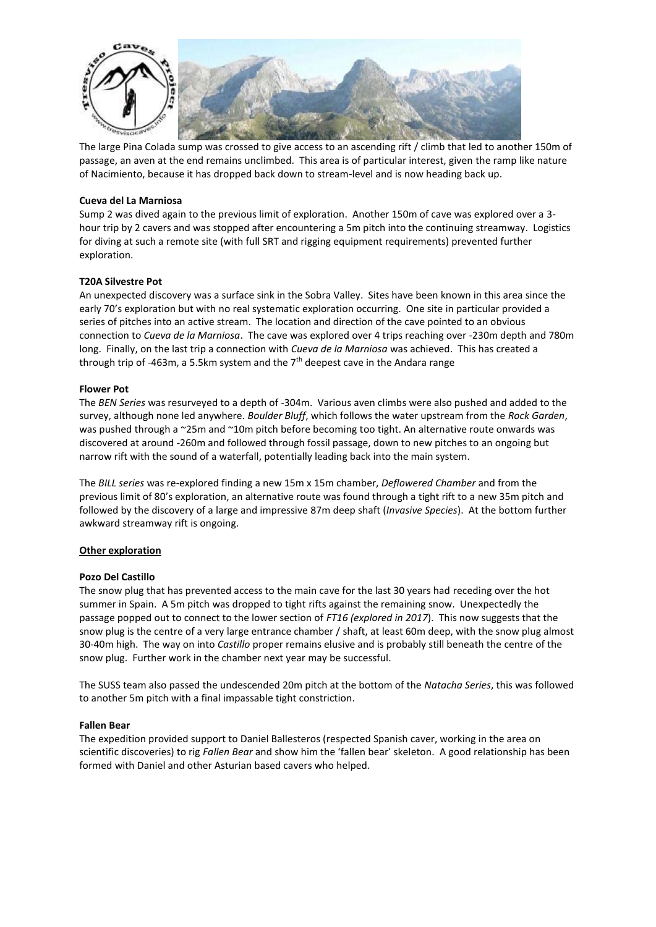

The large Pina Colada sump was crossed to give access to an ascending rift / climb that led to another 150m of passage, an aven at the end remains unclimbed. This area is of particular interest, given the ramp like nature of Nacimiento, because it has dropped back down to stream-level and is now heading back up.

## **Cueva del La Marniosa**

Sump 2 was dived again to the previous limit of exploration. Another 150m of cave was explored over a 3 hour trip by 2 cavers and was stopped after encountering a 5m pitch into the continuing streamway. Logistics for diving at such a remote site (with full SRT and rigging equipment requirements) prevented further exploration.

## **T20A Silvestre Pot**

An unexpected discovery was a surface sink in the Sobra Valley. Sites have been known in this area since the early 70's exploration but with no real systematic exploration occurring. One site in particular provided a series of pitches into an active stream. The location and direction of the cave pointed to an obvious connection to *Cueva de la Marniosa*. The cave was explored over 4 trips reaching over -230m depth and 780m long. Finally, on the last trip a connection with *Cueva de la Marniosa* was achieved. This has created a through trip of -463m, a 5.5km system and the  $7<sup>th</sup>$  deepest cave in the Andara range

## **Flower Pot**

The *BEN Series* was resurveyed to a depth of -304m. Various aven climbs were also pushed and added to the survey, although none led anywhere. *Boulder Bluff*, which follows the water upstream from the *Rock Garden*, was pushed through a ~25m and ~10m pitch before becoming too tight. An alternative route onwards was discovered at around -260m and followed through fossil passage, down to new pitches to an ongoing but narrow rift with the sound of a waterfall, potentially leading back into the main system.

The *BILL series* was re-explored finding a new 15m x 15m chamber, *Deflowered Chamber* and from the previous limit of 80's exploration, an alternative route was found through a tight rift to a new 35m pitch and followed by the discovery of a large and impressive 87m deep shaft (*Invasive Species*). At the bottom further awkward streamway rift is ongoing.

## **Other exploration**

## **Pozo Del Castillo**

The snow plug that has prevented access to the main cave for the last 30 years had receding over the hot summer in Spain. A 5m pitch was dropped to tight rifts against the remaining snow. Unexpectedly the passage popped out to connect to the lower section of *FT16 (explored in 2017*). This now suggests that the snow plug is the centre of a very large entrance chamber / shaft, at least 60m deep, with the snow plug almost 30-40m high. The way on into *Castillo* proper remains elusive and is probably still beneath the centre of the snow plug. Further work in the chamber next year may be successful.

The SUSS team also passed the undescended 20m pitch at the bottom of the *Natacha Series*, this was followed to another 5m pitch with a final impassable tight constriction.

## **Fallen Bear**

The expedition provided support to Daniel Ballesteros (respected Spanish caver, working in the area on scientific discoveries) to rig *Fallen Bear* and show him the 'fallen bear' skeleton. A good relationship has been formed with Daniel and other Asturian based cavers who helped.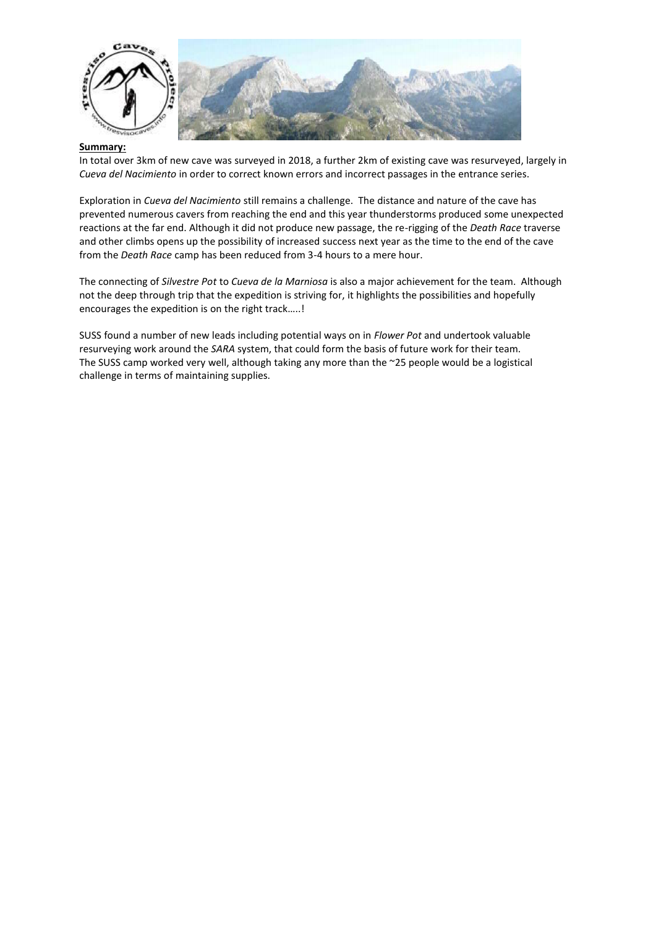

## **Summary:**

In total over 3km of new cave was surveyed in 2018, a further 2km of existing cave was resurveyed, largely in *Cueva del Nacimiento* in order to correct known errors and incorrect passages in the entrance series.

Exploration in *Cueva del Nacimiento* still remains a challenge. The distance and nature of the cave has prevented numerous cavers from reaching the end and this year thunderstorms produced some unexpected reactions at the far end. Although it did not produce new passage, the re-rigging of the *Death Race* traverse and other climbs opens up the possibility of increased success next year as the time to the end of the cave from the *Death Race* camp has been reduced from 3-4 hours to a mere hour.

The connecting of *Silvestre Pot* to *Cueva de la Marniosa* is also a major achievement for the team. Although not the deep through trip that the expedition is striving for, it highlights the possibilities and hopefully encourages the expedition is on the right track…..!

SUSS found a number of new leads including potential ways on in *Flower Pot* and undertook valuable resurveying work around the *SARA* system, that could form the basis of future work for their team. The SUSS camp worked very well, although taking any more than the ~25 people would be a logistical challenge in terms of maintaining supplies.